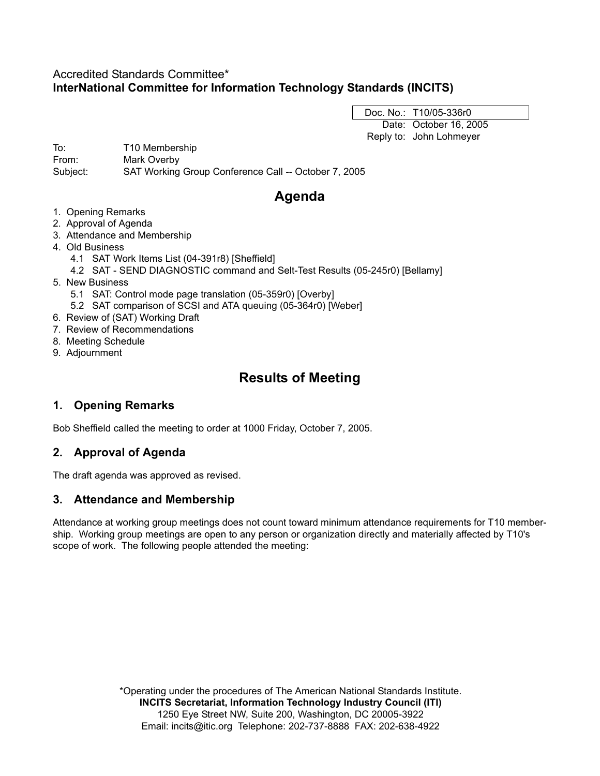## Accredited Standards Committee\* **InterNational Committee for Information Technology Standards (INCITS)**

Doc. No.: T10/05-336r0 Date: October 16, 2005 Reply to: John Lohmeyer

To: T10 Membership From: Mark Overby Subject: SAT Working Group Conference Call -- October 7, 2005

# **Agenda**

- 1. Opening Remarks
- 2. Approval of Agenda
- 3. Attendance and Membership
- 4. Old Business
	- 4.1 SAT Work Items List (04-391r8) [Sheffield]
	- 4.2 SAT SEND DIAGNOSTIC command and Selt-Test Results (05-245r0) [Bellamy]
- 5. New Business
	- 5.1 SAT: Control mode page translation (05-359r0) [Overby]
	- 5.2 SAT comparison of SCSI and ATA queuing (05-364r0) [Weber]
- 6. Review of (SAT) Working Draft
- 7. Review of Recommendations
- 8. Meeting Schedule
- 9. Adjournment

## **Results of Meeting**

## **1. Opening Remarks**

Bob Sheffield called the meeting to order at 1000 Friday, October 7, 2005.

## **2. Approval of Agenda**

The draft agenda was approved as revised.

### **3. Attendance and Membership**

Attendance at working group meetings does not count toward minimum attendance requirements for T10 membership. Working group meetings are open to any person or organization directly and materially affected by T10's scope of work. The following people attended the meeting:

> \*Operating under the procedures of The American National Standards Institute. **INCITS Secretariat, Information Technology Industry Council (ITI)** 1250 Eye Street NW, Suite 200, Washington, DC 20005-3922 Email: incits@itic.org Telephone: 202-737-8888 FAX: 202-638-4922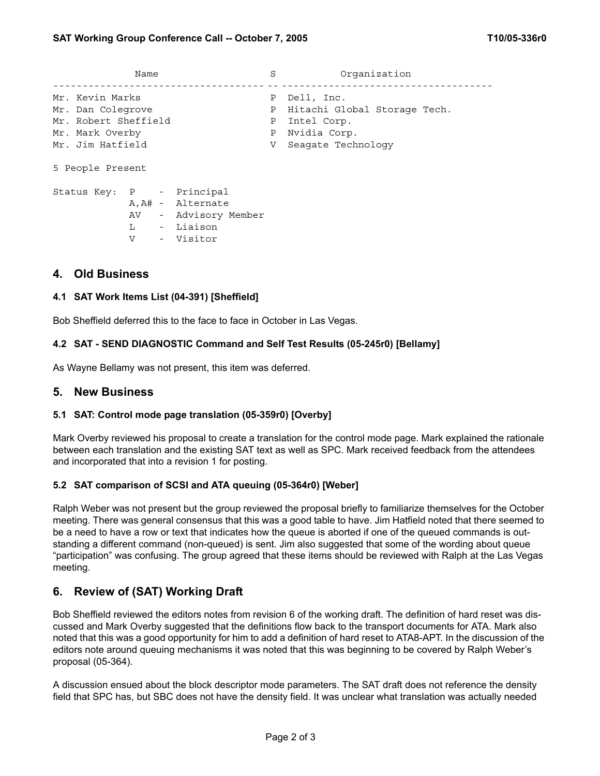| Name                                                                                                |                   |                                                                     | S                                | Organization                                                                                    |
|-----------------------------------------------------------------------------------------------------|-------------------|---------------------------------------------------------------------|----------------------------------|-------------------------------------------------------------------------------------------------|
| Mr. Kevin Marks<br>Mr. Dan Colegrove<br>Mr. Robert Sheffield<br>Mr. Mark Overby<br>Mr. Jim Hatfield |                   |                                                                     | P<br>Ρ<br>Ρ<br>$\mathbf{P}$<br>V | Dell, Inc.<br>Hitachi Global Storage Tech.<br>Intel Corp.<br>Nvidia Corp.<br>Seagate Technology |
| 5 People Present                                                                                    |                   |                                                                     |                                  |                                                                                                 |
| Status Key: P - Principal                                                                           | $\mathbf{L}$<br>V | A, A# - Alternate<br>AV - Advisory Member<br>- Liaison<br>- Visitor |                                  |                                                                                                 |

#### **4. Old Business**

#### **4.1 SAT Work Items List (04-391) [Sheffield]**

Bob Sheffield deferred this to the face to face in October in Las Vegas.

#### **4.2 SAT - SEND DIAGNOSTIC Command and Self Test Results (05-245r0) [Bellamy]**

As Wayne Bellamy was not present, this item was deferred.

#### **5. New Business**

#### **5.1 SAT: Control mode page translation (05-359r0) [Overby]**

Mark Overby reviewed his proposal to create a translation for the control mode page. Mark explained the rationale between each translation and the existing SAT text as well as SPC. Mark received feedback from the attendees and incorporated that into a revision 1 for posting.

#### **5.2 SAT comparison of SCSI and ATA queuing (05-364r0) [Weber]**

Ralph Weber was not present but the group reviewed the proposal briefly to familiarize themselves for the October meeting. There was general consensus that this was a good table to have. Jim Hatfield noted that there seemed to be a need to have a row or text that indicates how the queue is aborted if one of the queued commands is outstanding a different command (non-queued) is sent. Jim also suggested that some of the wording about queue "participation" was confusing. The group agreed that these items should be reviewed with Ralph at the Las Vegas meeting.

## **6. Review of (SAT) Working Draft**

Bob Sheffield reviewed the editors notes from revision 6 of the working draft. The definition of hard reset was discussed and Mark Overby suggested that the definitions flow back to the transport documents for ATA. Mark also noted that this was a good opportunity for him to add a definition of hard reset to ATA8-APT. In the discussion of the editors note around queuing mechanisms it was noted that this was beginning to be covered by Ralph Weber's proposal (05-364).

A discussion ensued about the block descriptor mode parameters. The SAT draft does not reference the density field that SPC has, but SBC does not have the density field. It was unclear what translation was actually needed